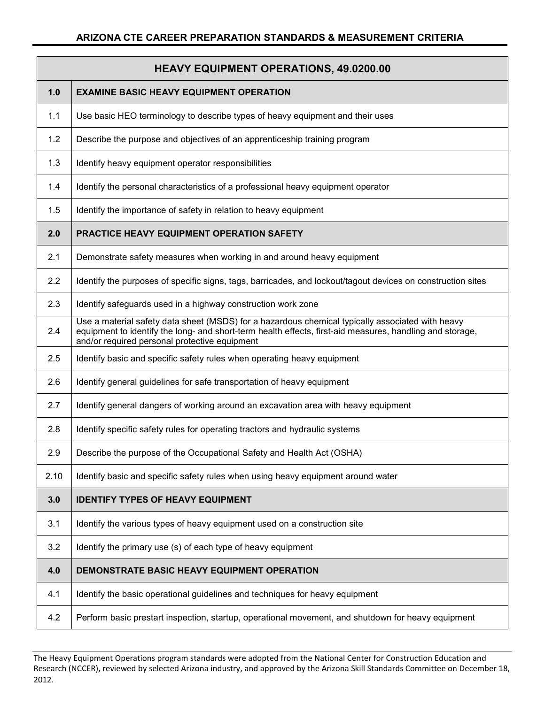|      | <b>HEAVY EQUIPMENT OPERATIONS, 49.0200.00</b>                                                                                                                                                                                                                 |  |  |
|------|---------------------------------------------------------------------------------------------------------------------------------------------------------------------------------------------------------------------------------------------------------------|--|--|
| 1.0  | <b>EXAMINE BASIC HEAVY EQUIPMENT OPERATION</b>                                                                                                                                                                                                                |  |  |
| 1.1  | Use basic HEO terminology to describe types of heavy equipment and their uses                                                                                                                                                                                 |  |  |
| 1.2  | Describe the purpose and objectives of an apprenticeship training program                                                                                                                                                                                     |  |  |
| 1.3  | Identify heavy equipment operator responsibilities                                                                                                                                                                                                            |  |  |
| 1.4  | Identify the personal characteristics of a professional heavy equipment operator                                                                                                                                                                              |  |  |
| 1.5  | Identify the importance of safety in relation to heavy equipment                                                                                                                                                                                              |  |  |
| 2.0  | PRACTICE HEAVY EQUIPMENT OPERATION SAFETY                                                                                                                                                                                                                     |  |  |
| 2.1  | Demonstrate safety measures when working in and around heavy equipment                                                                                                                                                                                        |  |  |
| 2.2  | Identify the purposes of specific signs, tags, barricades, and lockout/tagout devices on construction sites                                                                                                                                                   |  |  |
| 2.3  | Identify safeguards used in a highway construction work zone                                                                                                                                                                                                  |  |  |
| 2.4  | Use a material safety data sheet (MSDS) for a hazardous chemical typically associated with heavy<br>equipment to identify the long- and short-term health effects, first-aid measures, handling and storage,<br>and/or required personal protective equipment |  |  |
| 2.5  | Identify basic and specific safety rules when operating heavy equipment                                                                                                                                                                                       |  |  |
| 2.6  | Identify general guidelines for safe transportation of heavy equipment                                                                                                                                                                                        |  |  |
| 2.7  | Identify general dangers of working around an excavation area with heavy equipment                                                                                                                                                                            |  |  |
| 2.8  | Identify specific safety rules for operating tractors and hydraulic systems                                                                                                                                                                                   |  |  |
| 2.9  | Describe the purpose of the Occupational Safety and Health Act (OSHA)                                                                                                                                                                                         |  |  |
| 2.10 | Identify basic and specific safety rules when using heavy equipment around water                                                                                                                                                                              |  |  |
| 3.0  | <b>IDENTIFY TYPES OF HEAVY EQUIPMENT</b>                                                                                                                                                                                                                      |  |  |
| 3.1  | Identify the various types of heavy equipment used on a construction site                                                                                                                                                                                     |  |  |
| 3.2  | Identify the primary use (s) of each type of heavy equipment                                                                                                                                                                                                  |  |  |
| 4.0  | DEMONSTRATE BASIC HEAVY EQUIPMENT OPERATION                                                                                                                                                                                                                   |  |  |
| 4.1  | Identify the basic operational guidelines and techniques for heavy equipment                                                                                                                                                                                  |  |  |
| 4.2  | Perform basic prestart inspection, startup, operational movement, and shutdown for heavy equipment                                                                                                                                                            |  |  |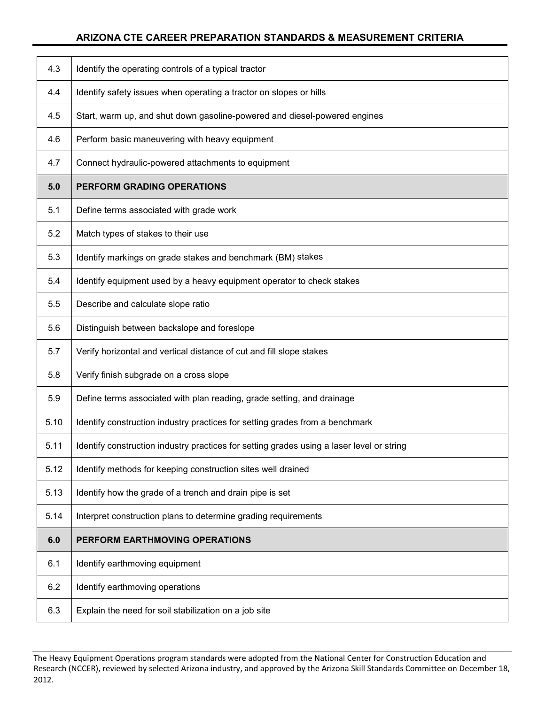| 4.3  | Identify the operating controls of a typical tractor                                      |
|------|-------------------------------------------------------------------------------------------|
| 4.4  | Identify safety issues when operating a tractor on slopes or hills                        |
| 4.5  | Start, warm up, and shut down gasoline-powered and diesel-powered engines                 |
| 4.6  | Perform basic maneuvering with heavy equipment                                            |
| 4.7  | Connect hydraulic-powered attachments to equipment                                        |
| 5.0  | PERFORM GRADING OPERATIONS                                                                |
| 5.1  | Define terms associated with grade work                                                   |
| 5.2  | Match types of stakes to their use                                                        |
| 5.3  | Identify markings on grade stakes and benchmark (BM) stakes                               |
| 5.4  | Identify equipment used by a heavy equipment operator to check stakes                     |
| 5.5  | Describe and calculate slope ratio                                                        |
| 5.6  | Distinguish between backslope and foreslope                                               |
| 5.7  | Verify horizontal and vertical distance of cut and fill slope stakes                      |
| 5.8  | Verify finish subgrade on a cross slope                                                   |
| 5.9  | Define terms associated with plan reading, grade setting, and drainage                    |
| 5.10 | Identify construction industry practices for setting grades from a benchmark              |
| 5.11 | Identify construction industry practices for setting grades using a laser level or string |
| 5.12 | Identify methods for keeping construction sites well drained                              |
| 5.13 | Identify how the grade of a trench and drain pipe is set                                  |
| 5.14 | Interpret construction plans to determine grading requirements                            |
|      |                                                                                           |
| 6.0  | PERFORM EARTHMOVING OPERATIONS                                                            |
| 6.1  | Identify earthmoving equipment                                                            |
| 6.2  | Identify earthmoving operations                                                           |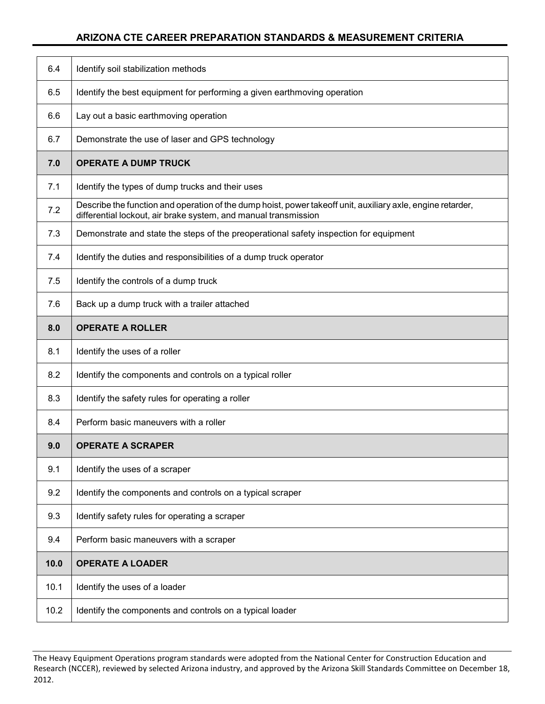| 6.4  | Identify soil stabilization methods                                                                                                                                            |
|------|--------------------------------------------------------------------------------------------------------------------------------------------------------------------------------|
| 6.5  | Identify the best equipment for performing a given earthmoving operation                                                                                                       |
| 6.6  | Lay out a basic earthmoving operation                                                                                                                                          |
| 6.7  | Demonstrate the use of laser and GPS technology                                                                                                                                |
| 7.0  | <b>OPERATE A DUMP TRUCK</b>                                                                                                                                                    |
| 7.1  | Identify the types of dump trucks and their uses                                                                                                                               |
| 7.2  | Describe the function and operation of the dump hoist, power takeoff unit, auxiliary axle, engine retarder,<br>differential lockout, air brake system, and manual transmission |
| 7.3  | Demonstrate and state the steps of the preoperational safety inspection for equipment                                                                                          |
| 7.4  | Identify the duties and responsibilities of a dump truck operator                                                                                                              |
| 7.5  | Identify the controls of a dump truck                                                                                                                                          |
| 7.6  | Back up a dump truck with a trailer attached                                                                                                                                   |
| 8.0  | <b>OPERATE A ROLLER</b>                                                                                                                                                        |
| 8.1  | Identify the uses of a roller                                                                                                                                                  |
| 8.2  | Identify the components and controls on a typical roller                                                                                                                       |
|      |                                                                                                                                                                                |
| 8.3  | Identify the safety rules for operating a roller                                                                                                                               |
| 8.4  | Perform basic maneuvers with a roller                                                                                                                                          |
| 9.0  | <b>OPERATE A SCRAPER</b>                                                                                                                                                       |
| 9.1  | Identify the uses of a scraper                                                                                                                                                 |
| 9.2  | Identify the components and controls on a typical scraper                                                                                                                      |
| 9.3  | Identify safety rules for operating a scraper                                                                                                                                  |
| 9.4  | Perform basic maneuvers with a scraper                                                                                                                                         |
| 10.0 | <b>OPERATE A LOADER</b>                                                                                                                                                        |
| 10.1 | Identify the uses of a loader                                                                                                                                                  |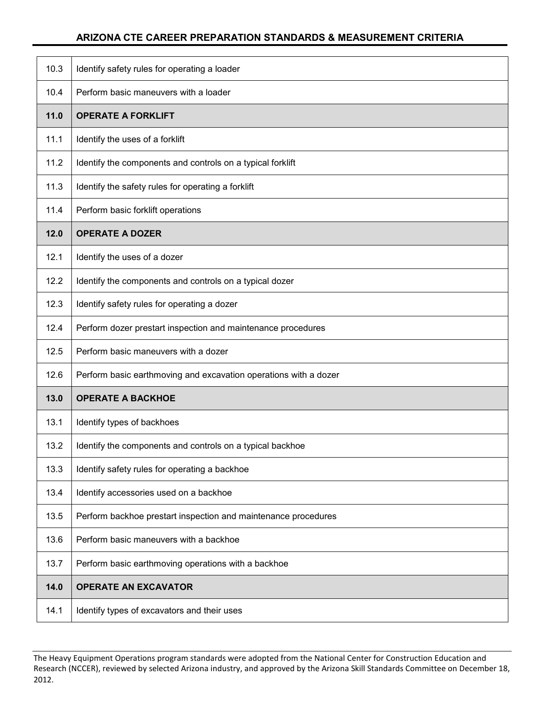| 10.3 | Identify safety rules for operating a loader                     |
|------|------------------------------------------------------------------|
| 10.4 | Perform basic maneuvers with a loader                            |
| 11.0 | <b>OPERATE A FORKLIFT</b>                                        |
| 11.1 | Identify the uses of a forklift                                  |
| 11.2 | Identify the components and controls on a typical forklift       |
| 11.3 | Identify the safety rules for operating a forklift               |
| 11.4 | Perform basic forklift operations                                |
| 12.0 | <b>OPERATE A DOZER</b>                                           |
| 12.1 | Identify the uses of a dozer                                     |
| 12.2 | Identify the components and controls on a typical dozer          |
| 12.3 | Identify safety rules for operating a dozer                      |
| 12.4 | Perform dozer prestart inspection and maintenance procedures     |
| 12.5 | Perform basic maneuvers with a dozer                             |
| 12.6 | Perform basic earthmoving and excavation operations with a dozer |
| 13.0 | <b>OPERATE A BACKHOE</b>                                         |
| 13.1 | Identify types of backhoes                                       |
| 13.2 | Identify the components and controls on a typical backhoe        |
| 13.3 | Identify safety rules for operating a backhoe                    |
| 13.4 | Identify accessories used on a backhoe                           |
| 13.5 | Perform backhoe prestart inspection and maintenance procedures   |
| 13.6 | Perform basic maneuvers with a backhoe                           |
| 13.7 | Perform basic earthmoving operations with a backhoe              |
| 14.0 | <b>OPERATE AN EXCAVATOR</b>                                      |
| 14.1 | Identify types of excavators and their uses                      |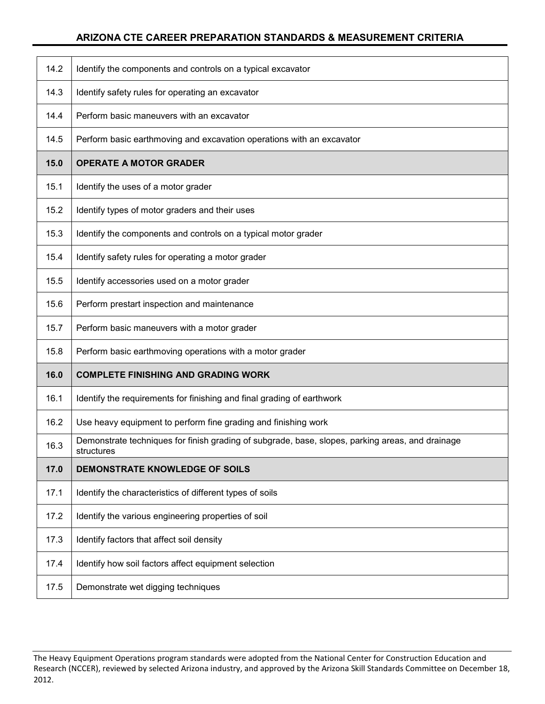| 14.2 | Identify the components and controls on a typical excavator                                                    |
|------|----------------------------------------------------------------------------------------------------------------|
| 14.3 | Identify safety rules for operating an excavator                                                               |
| 14.4 | Perform basic maneuvers with an excavator                                                                      |
| 14.5 | Perform basic earthmoving and excavation operations with an excavator                                          |
| 15.0 | <b>OPERATE A MOTOR GRADER</b>                                                                                  |
| 15.1 | Identify the uses of a motor grader                                                                            |
| 15.2 | Identify types of motor graders and their uses                                                                 |
| 15.3 | Identify the components and controls on a typical motor grader                                                 |
| 15.4 | Identify safety rules for operating a motor grader                                                             |
| 15.5 | Identify accessories used on a motor grader                                                                    |
| 15.6 | Perform prestart inspection and maintenance                                                                    |
| 15.7 | Perform basic maneuvers with a motor grader                                                                    |
| 15.8 | Perform basic earthmoving operations with a motor grader                                                       |
| 16.0 | <b>COMPLETE FINISHING AND GRADING WORK</b>                                                                     |
| 16.1 | Identify the requirements for finishing and final grading of earthwork                                         |
| 16.2 | Use heavy equipment to perform fine grading and finishing work                                                 |
| 16.3 | Demonstrate techniques for finish grading of subgrade, base, slopes, parking areas, and drainage<br>structures |
| 17.0 | DEMONSTRATE KNOWLEDGE OF SOILS                                                                                 |
| 17.1 | Identify the characteristics of different types of soils                                                       |
| 17.2 | Identify the various engineering properties of soil                                                            |
| 17.3 | Identify factors that affect soil density                                                                      |
| 17.4 | Identify how soil factors affect equipment selection                                                           |
| 17.5 | Demonstrate wet digging techniques                                                                             |

The Heavy Equipment Operations program standards were adopted from the National Center for Construction Education and Research (NCCER), reviewed by selected Arizona industry, and approved by the Arizona Skill Standards Committee on December 18, 2012.